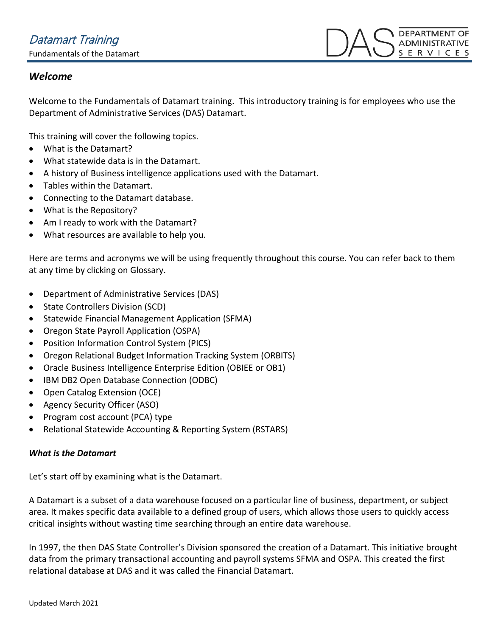### *Welcome*

Welcome to the Fundamentals of Datamart training. This introductory training is for employees who use the Department of Administrative Services (DAS) Datamart.

This training will cover the following topics.

- What is the Datamart?
- What statewide data is in the Datamart.
- A history of Business intelligence applications used with the Datamart.
- Tables within the Datamart.
- Connecting to the Datamart database.
- What is the Repository?
- Am I ready to work with the Datamart?
- What resources are available to help you.

Here are terms and acronyms we will be using frequently throughout this course. You can refer back to them at any time by clicking on Glossary.

- Department of Administrative Services (DAS)
- State Controllers Division (SCD)
- Statewide Financial Management Application (SFMA)
- Oregon State Payroll Application (OSPA)
- Position Information Control System (PICS)
- Oregon Relational Budget Information Tracking System (ORBITS)
- Oracle Business Intelligence Enterprise Edition (OBIEE or OB1)
- IBM DB2 Open Database Connection (ODBC)
- Open Catalog Extension (OCE)
- Agency Security Officer (ASO)
- Program cost account (PCA) type
- Relational Statewide Accounting & Reporting System (RSTARS)

#### *What is the Datamart*

Let's start off by examining what is the Datamart.

A Datamart is a subset of a data warehouse focused on a particular line of business, department, or subject area. It makes specific data available to a defined group of users, which allows those users to quickly access critical insights without wasting time searching through an entire data warehouse.

In 1997, the then DAS State Controller's Division sponsored the creation of a Datamart. This initiative brought data from the primary transactional accounting and payroll systems SFMA and OSPA. This created the first relational database at DAS and it was called the Financial Datamart.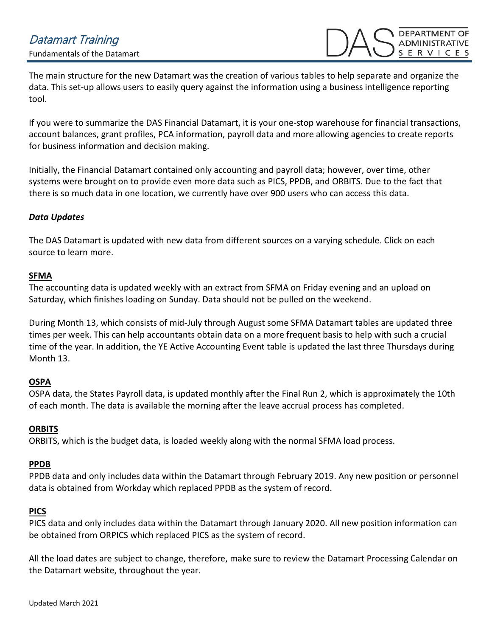The main structure for the new Datamart was the creation of various tables to help separate and organize the data. This set-up allows users to easily query against the information using a business intelligence reporting tool.

If you were to summarize the DAS Financial Datamart, it is your one-stop warehouse for financial transactions, account balances, grant profiles, PCA information, payroll data and more allowing agencies to create reports for business information and decision making.

Initially, the Financial Datamart contained only accounting and payroll data; however, over time, other systems were brought on to provide even more data such as PICS, PPDB, and ORBITS. Due to the fact that there is so much data in one location, we currently have over 900 users who can access this data.

#### *Data Updates*

The DAS Datamart is updated with new data from different sources on a varying schedule. Click on each source to learn more.

#### **SFMA**

The accounting data is updated weekly with an extract from SFMA on Friday evening and an upload on Saturday, which finishes loading on Sunday. Data should not be pulled on the weekend.

During Month 13, which consists of mid-July through August some SFMA Datamart tables are updated three times per week. This can help accountants obtain data on a more frequent basis to help with such a crucial time of the year. In addition, the YE Active Accounting Event table is updated the last three Thursdays during Month 13.

#### **OSPA**

OSPA data, the States Payroll data, is updated monthly after the Final Run 2, which is approximately the 10th of each month. The data is available the morning after the leave accrual process has completed.

#### **ORBITS**

ORBITS, which is the budget data, is loaded weekly along with the normal SFMA load process.

#### **PPDB**

PPDB data and only includes data within the Datamart through February 2019. Any new position or personnel data is obtained from Workday which replaced PPDB as the system of record.

#### **PICS**

PICS data and only includes data within the Datamart through January 2020. All new position information can be obtained from ORPICS which replaced PICS as the system of record.

All the load dates are subject to change, therefore, make sure to review the Datamart Processing Calendar on the Datamart website, throughout the year.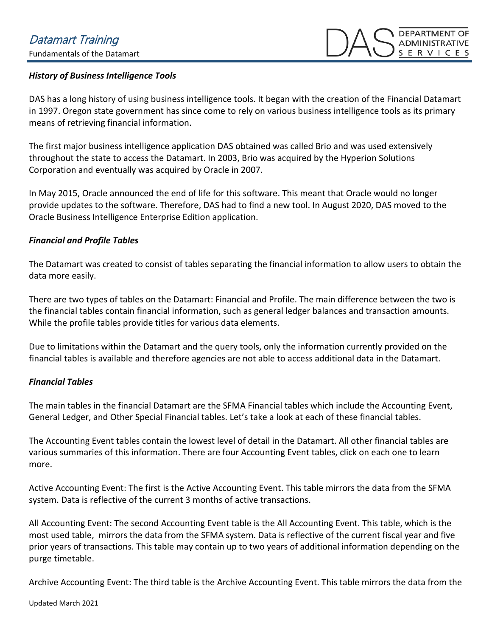#### *History of Business Intelligence Tools*

DAS has a long history of using business intelligence tools. It began with the creation of the Financial Datamart in 1997. Oregon state government has since come to rely on various business intelligence tools as its primary means of retrieving financial information.

The first major business intelligence application DAS obtained was called Brio and was used extensively throughout the state to access the Datamart. In 2003, Brio was acquired by the Hyperion Solutions Corporation and eventually was acquired by Oracle in 2007.

In May 2015, Oracle announced the end of life for this software. This meant that Oracle would no longer provide updates to the software. Therefore, DAS had to find a new tool. In August 2020, DAS moved to the Oracle Business Intelligence Enterprise Edition application.

#### *Financial and Profile Tables*

The Datamart was created to consist of tables separating the financial information to allow users to obtain the data more easily.

There are two types of tables on the Datamart: Financial and Profile. The main difference between the two is the financial tables contain financial information, such as general ledger balances and transaction amounts. While the profile tables provide titles for various data elements.

Due to limitations within the Datamart and the query tools, only the information currently provided on the financial tables is available and therefore agencies are not able to access additional data in the Datamart.

#### *Financial Tables*

The main tables in the financial Datamart are the SFMA Financial tables which include the Accounting Event, General Ledger, and Other Special Financial tables. Let's take a look at each of these financial tables.

The Accounting Event tables contain the lowest level of detail in the Datamart. All other financial tables are various summaries of this information. There are four Accounting Event tables, click on each one to learn more.

Active Accounting Event: The first is the Active Accounting Event. This table mirrors the data from the SFMA system. Data is reflective of the current 3 months of active transactions.

All Accounting Event: The second Accounting Event table is the All Accounting Event. This table, which is the most used table, mirrors the data from the SFMA system. Data is reflective of the current fiscal year and five prior years of transactions. This table may contain up to two years of additional information depending on the purge timetable.

Archive Accounting Event: The third table is the Archive Accounting Event. This table mirrors the data from the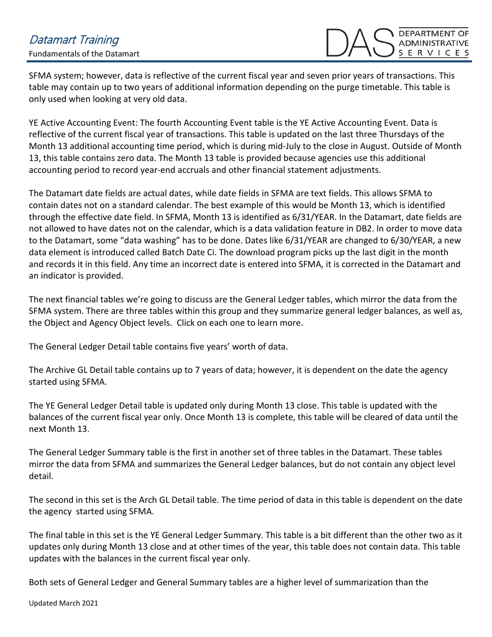## Datamart Training Fundamentals of the Datamart

SFMA system; however, data is reflective of the current fiscal year and seven prior years of transactions. This table may contain up to two years of additional information depending on the purge timetable. This table is only used when looking at very old data.

YE Active Accounting Event: The fourth Accounting Event table is the YE Active Accounting Event. Data is reflective of the current fiscal year of transactions. This table is updated on the last three Thursdays of the Month 13 additional accounting time period, which is during mid-July to the close in August. Outside of Month 13, this table contains zero data. The Month 13 table is provided because agencies use this additional accounting period to record year-end accruals and other financial statement adjustments.

The Datamart date fields are actual dates, while date fields in SFMA are text fields. This allows SFMA to contain dates not on a standard calendar. The best example of this would be Month 13, which is identified through the effective date field. In SFMA, Month 13 is identified as 6/31/YEAR. In the Datamart, date fields are not allowed to have dates not on the calendar, which is a data validation feature in DB2. In order to move data to the Datamart, some "data washing" has to be done. Dates like 6/31/YEAR are changed to 6/30/YEAR, a new data element is introduced called Batch Date Ci. The download program picks up the last digit in the month and records it in this field. Any time an incorrect date is entered into SFMA, it is corrected in the Datamart and an indicator is provided.

The next financial tables we're going to discuss are the General Ledger tables, which mirror the data from the SFMA system. There are three tables within this group and they summarize general ledger balances, as well as, the Object and Agency Object levels. Click on each one to learn more.

The General Ledger Detail table contains five years' worth of data.

The Archive GL Detail table contains up to 7 years of data; however, it is dependent on the date the agency started using SFMA.

The YE General Ledger Detail table is updated only during Month 13 close. This table is updated with the balances of the current fiscal year only. Once Month 13 is complete, this table will be cleared of data until the next Month 13.

The General Ledger Summary table is the first in another set of three tables in the Datamart. These tables mirror the data from SFMA and summarizes the General Ledger balances, but do not contain any object level detail.

The second in this set is the Arch GL Detail table. The time period of data in this table is dependent on the date the agency started using SFMA.

The final table in this set is the YE General Ledger Summary. This table is a bit different than the other two as it updates only during Month 13 close and at other times of the year, this table does not contain data. This table updates with the balances in the current fiscal year only.

Both sets of General Ledger and General Summary tables are a higher level of summarization than the

Updated March 2021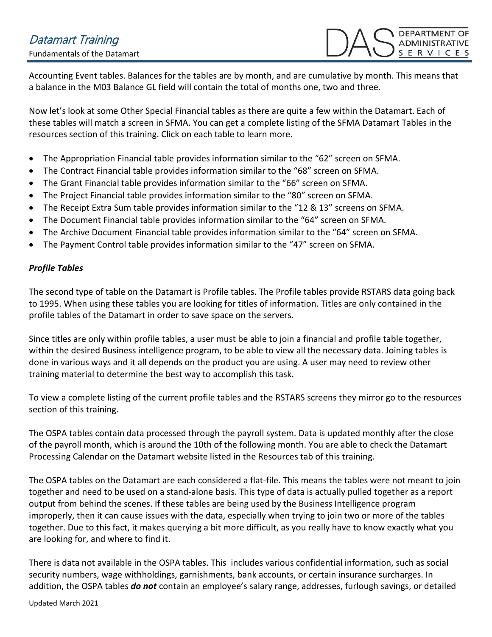Accounting Event tables. Balances for the tables are by month, and are cumulative by month. This means that a balance in the M03 Balance GL field will contain the total of months one, two and three.

Now let's look at some Other Special Financial tables as there are quite a few within the Datamart. Each of these tables will match a screen in SFMA. You can get a complete listing of the SFMA Datamart Tables in the resources section of this training. Click on each table to learn more.

- The Appropriation Financial table provides information similar to the "62" screen on SFMA.
- The Contract Financial table provides information similar to the "68" screen on SFMA.
- The Grant Financial table provides information similar to the "66" screen on SFMA.
- The Project Financial table provides information similar to the "80" screen on SFMA.
- The Receipt Extra Sum table provides information similar to the "12 & 13" screens on SFMA.
- The Document Financial table provides information similar to the "64" screen on SFMA.
- The Archive Document Financial table provides information similar to the "64" screen on SFMA.
- The Payment Control table provides information similar to the "47" screen on SFMA.

#### *Profile Tables*

The second type of table on the Datamart is Profile tables. The Profile tables provide RSTARS data going back to 1995. When using these tables you are looking for titles of information. Titles are only contained in the profile tables of the Datamart in order to save space on the servers.

Since titles are only within profile tables, a user must be able to join a financial and profile table together, within the desired Business intelligence program, to be able to view all the necessary data. Joining tables is done in various ways and it all depends on the product you are using. A user may need to review other training material to determine the best way to accomplish this task.

To view a complete listing of the current profile tables and the RSTARS screens they mirror go to the resources section of this training.

The OSPA tables contain data processed through the payroll system. Data is updated monthly after the close of the payroll month, which is around the 10th of the following month. You are able to check the Datamart Processing Calendar on the Datamart website listed in the Resources tab of this training.

The OSPA tables on the Datamart are each considered a flat-file. This means the tables were not meant to join together and need to be used on a stand-alone basis. This type of data is actually pulled together as a report output from behind the scenes. If these tables are being used by the Business Intelligence program improperly, then it can cause issues with the data, especially when trying to join two or more of the tables together. Due to this fact, it makes querying a bit more difficult, as you really have to know exactly what you are looking for, and where to find it.

There is data not available in the OSPA tables. This includes various confidential information, such as social security numbers, wage withholdings, garnishments, bank accounts, or certain insurance surcharges. In addition, the OSPA tables *do not* contain an employee's salary range, addresses, furlough savings, or detailed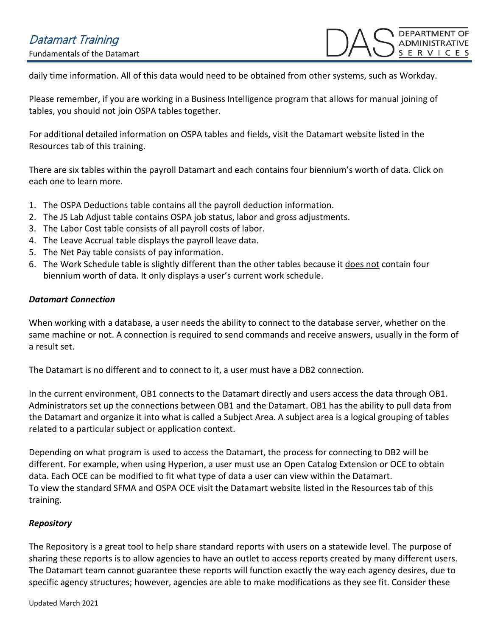# Datamart Training

Fundamentals of the Datamart

**DEPARTMENT OF ADMINISTRATIVE** ERVICES

daily time information. All of this data would need to be obtained from other systems, such as Workday.

Please remember, if you are working in a Business Intelligence program that allows for manual joining of tables, you should not join OSPA tables together.

For additional detailed information on OSPA tables and fields, visit the Datamart website listed in the Resources tab of this training.

There are six tables within the payroll Datamart and each contains four biennium's worth of data. Click on each one to learn more.

- 1. The OSPA Deductions table contains all the payroll deduction information.
- 2. The JS Lab Adjust table contains OSPA job status, labor and gross adjustments.
- 3. The Labor Cost table consists of all payroll costs of labor.
- 4. The Leave Accrual table displays the payroll leave data.
- 5. The Net Pay table consists of pay information.
- 6. The Work Schedule table is slightly different than the other tables because it does not contain four biennium worth of data. It only displays a user's current work schedule.

#### *Datamart Connection*

When working with a database, a user needs the ability to connect to the database server, whether on the same machine or not. A connection is required to send commands and receive answers, usually in the form of a result set.

The Datamart is no different and to connect to it, a user must have a DB2 connection.

In the current environment, OB1 connects to the Datamart directly and users access the data through OB1. Administrators set up the connections between OB1 and the Datamart. OB1 has the ability to pull data from the Datamart and organize it into what is called a Subject Area. A subject area is a logical grouping of tables related to a particular subject or application context.

Depending on what program is used to access the Datamart, the process for connecting to DB2 will be different. For example, when using Hyperion, a user must use an Open Catalog Extension or OCE to obtain data. Each OCE can be modified to fit what type of data a user can view within the Datamart. To view the standard SFMA and OSPA OCE visit the Datamart website listed in the Resources tab of this training.

#### *Repository*

The Repository is a great tool to help share standard reports with users on a statewide level. The purpose of sharing these reports is to allow agencies to have an outlet to access reports created by many different users. The Datamart team cannot guarantee these reports will function exactly the way each agency desires, due to specific agency structures; however, agencies are able to make modifications as they see fit. Consider these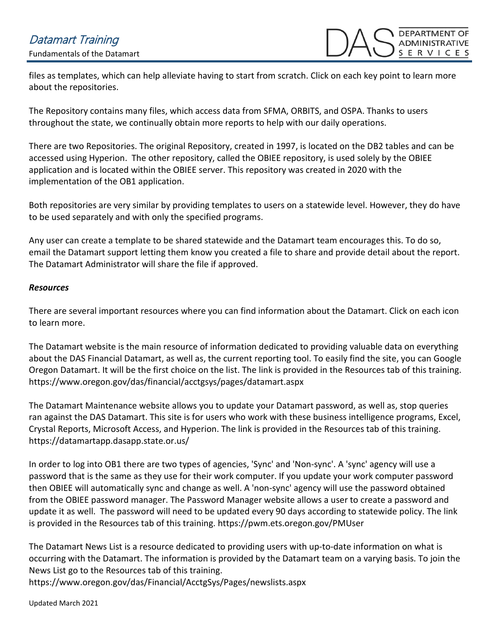# Datamart Training

Fundamentals of the Datamart

files as templates, which can help alleviate having to start from scratch. Click on each key point to learn more about the repositories.

The Repository contains many files, which access data from SFMA, ORBITS, and OSPA. Thanks to users throughout the state, we continually obtain more reports to help with our daily operations.

There are two Repositories. The original Repository, created in 1997, is located on the DB2 tables and can be accessed using Hyperion. The other repository, called the OBIEE repository, is used solely by the OBIEE application and is located within the OBIEE server. This repository was created in 2020 with the implementation of the OB1 application.

Both repositories are very similar by providing templates to users on a statewide level. However, they do have to be used separately and with only the specified programs.

Any user can create a template to be shared statewide and the Datamart team encourages this. To do so, email the Datamart support letting them know you created a file to share and provide detail about the report. The Datamart Administrator will share the file if approved.

#### *Resources*

There are several important resources where you can find information about the Datamart. Click on each icon to learn more.

The Datamart website is the main resource of information dedicated to providing valuable data on everything about the DAS Financial Datamart, as well as, the current reporting tool. To easily find the site, you can Google Oregon Datamart. It will be the first choice on the list. The link is provided in the Resources tab of this training. https://www.oregon.gov/das/financial/acctgsys/pages/datamart.aspx

The Datamart Maintenance website allows you to update your Datamart password, as well as, stop queries ran against the DAS Datamart. This site is for users who work with these business intelligence programs, Excel, Crystal Reports, Microsoft Access, and Hyperion. The link is provided in the Resources tab of this training. https://datamartapp.dasapp.state.or.us/

In order to log into OB1 there are two types of agencies, 'Sync' and 'Non-sync'. A 'sync' agency will use a password that is the same as they use for their work computer. If you update your work computer password then OBIEE will automatically sync and change as well. A 'non-sync' agency will use the password obtained from the OBIEE password manager. The Password Manager website allows a user to create a password and update it as well. The password will need to be updated every 90 days according to statewide policy. The link is provided in the Resources tab of this training. https://pwm.ets.oregon.gov/PMUser

The Datamart News List is a resource dedicated to providing users with up-to-date information on what is occurring with the Datamart. The information is provided by the Datamart team on a varying basis. To join the News List go to the Resources tab of this training.

https://www.oregon.gov/das/Financial/AcctgSys/Pages/newslists.aspx